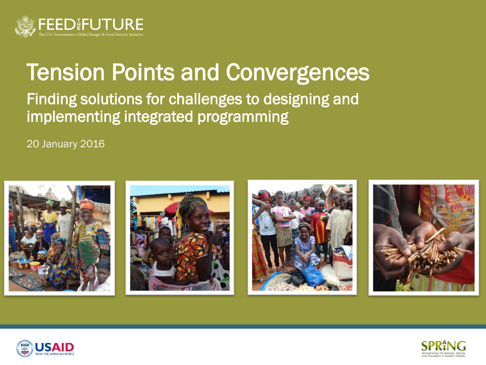

# Tension Points and Convergences

### Finding solutions for challenges to designing and implementing integrated programming

20 January 2016





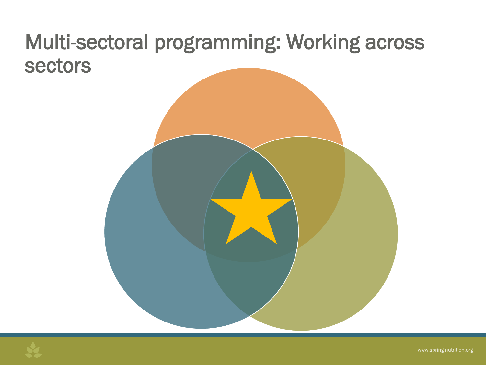# Multi-sectoral programming: Working across sectors



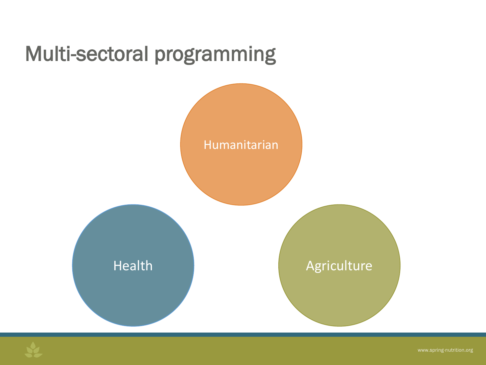



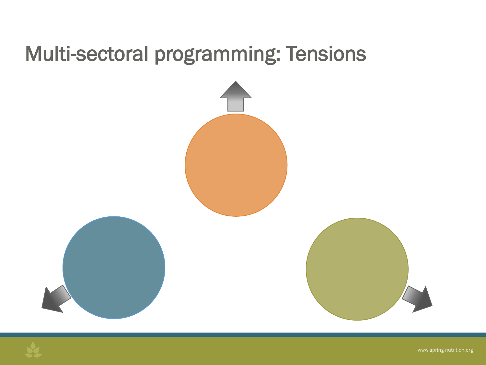# Multi-sectoral programming: Tensions



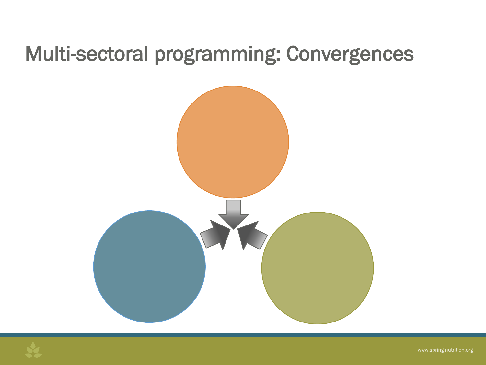# Multi-sectoral programming: Convergences



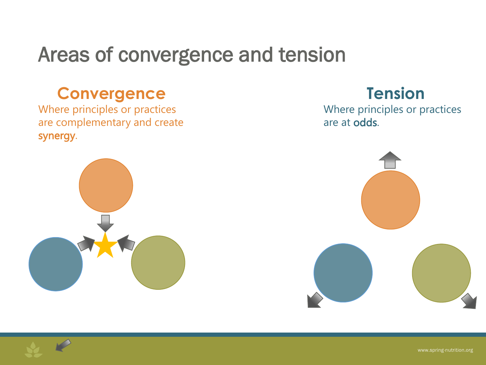# Areas of convergence and tension

## **Convergence**

Where principles or practices are complementary and create synergy.



### **Tension**

Where principles or practices are at odds.



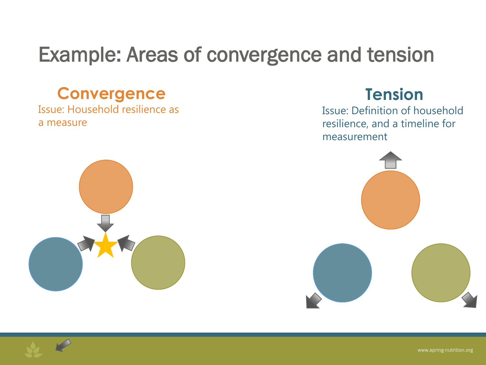# Example: Areas of convergence and tension

### **Convergence**

Issue: Household resilience as a measure

### **Tension**

Issue: Definition of household resilience, and a timeline for measurement



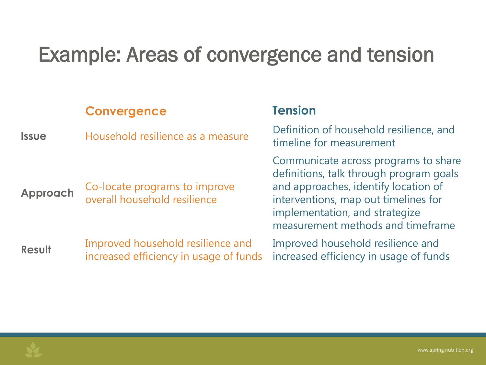# Example: Areas of convergence and tension

### **Convergence Tension**

**Issue** Household resilience as a measure

- **Approach** Co-locate programs to improve overall household resilience
- **Result** Improved household resilience and increased efficiency in usage of funds

Definition of household resilience, and timeline for measurement

Communicate across programs to share definitions, talk through program goals and approaches, identify location of interventions, map out timelines for implementation, and strategize measurement methods and timeframe

Improved household resilience and increased efficiency in usage of funds

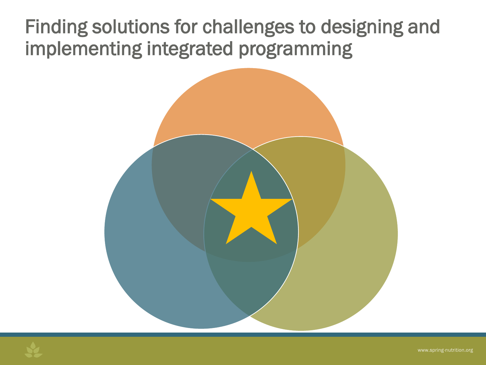# Finding solutions for challenges to designing and implementing integrated programming



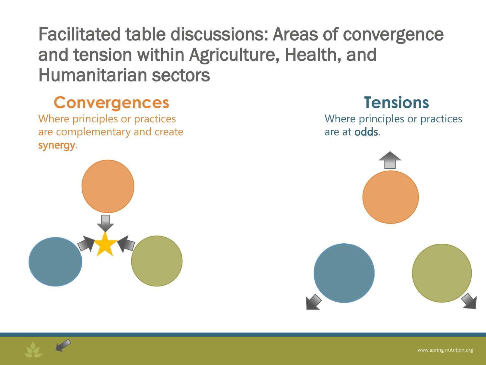Facilitated table discussions: Areas of convergence and tension within Agriculture, Health, and Humanitarian sectors

## **Convergences**

Where principles or practices are complementary and create synergy.



## **Tensions**

Where principles or practices are at odds.



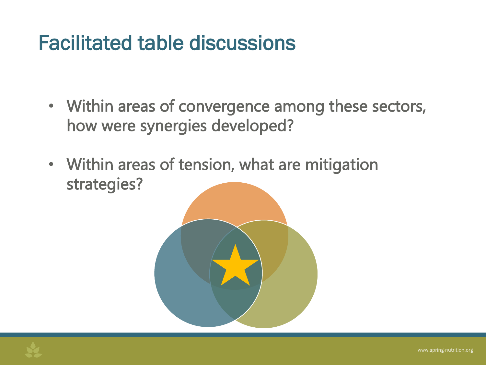# Facilitated table discussions

- Within areas of convergence among these sectors, how were synergies developed?
- Within areas of tension, what are mitigation strategies?

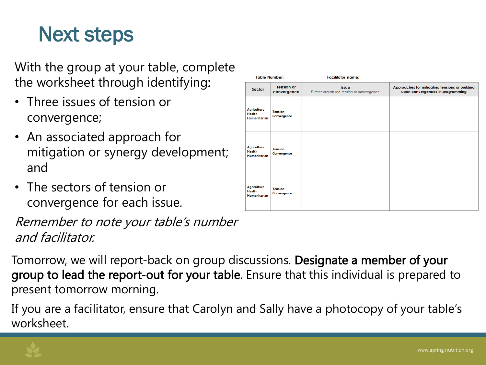# Next steps

With the group at your table, complete the worksheet through identifying:

- Three issues of tension or convergence;
- An associated approach for mitigation or synergy development; and
- The sectors of tension or convergence for each issue.

Remember to note your table's number and facilitator.

| Table Number: _________                                    |                                      |                                                            |                                                                                    |
|------------------------------------------------------------|--------------------------------------|------------------------------------------------------------|------------------------------------------------------------------------------------|
| <b>Sector</b>                                              | <b>Tension or</b><br>convergence     | <b>Issue</b><br>Further explain the tension or convergence | Approaches for mitigating tensions or building<br>upon convergences in programming |
| <b>Agriculture</b><br><b>Health</b><br><b>Humanitarian</b> | <b>Tension</b><br>Convergence        |                                                            |                                                                                    |
| <b>Agriculture</b><br><b>Health</b><br><b>Humanitarian</b> | <b>Tension</b><br><b>Convergence</b> |                                                            |                                                                                    |
| <b>Agriculture</b><br><b>Health</b><br><b>Humanitarian</b> | <b>Tension</b><br>Convergence        |                                                            |                                                                                    |

Tomorrow, we will report-back on group discussions. Designate a member of your group to lead the report-out for your table. Ensure that this individual is prepared to present tomorrow morning.

If you are a facilitator, ensure that Carolyn and Sally have a photocopy of your table's worksheet.